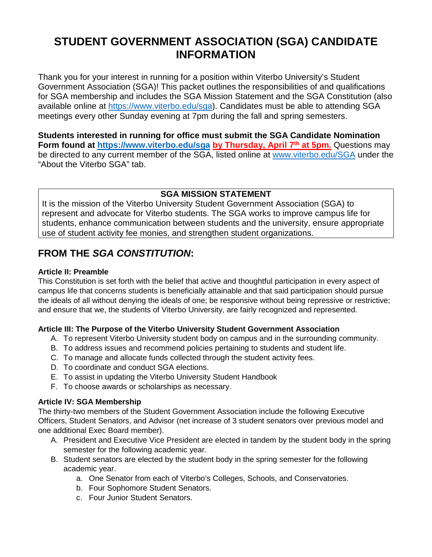# **STUDENT GOVERNMENT ASSOCIATION (SGA) CANDIDATE INFORMATION**

Thank you for your interest in running for a position within Viterbo University's Student Government Association (SGA)! This packet outlines the responsibilities of and qualifications for SGA membership and includes the SGA Mission Statement and the SGA Constitution (also available online at [https://www.viterbo.edu/sga\)](https://www.viterbo.edu/sga). Candidates must be able to attending SGA meetings every other Sunday evening at 7pm during the fall and spring semesters.

**Students interested in running for office must submit the SGA Candidate Nomination Form found at [https://www.viterbo.edu/sga](https://www.viterbo.edu/sgan) by Thursday, April 7th at 5pm.** Questions may be directed to any current member of the SGA, listed online at [www.viterbo.edu/SGA](http://www.viterbo.edu/SGA) under the "About the Viterbo SGA" tab.

### **SGA MISSION STATEMENT**

It is the mission of the Viterbo University Student Government Association (SGA) to represent and advocate for Viterbo students. The SGA works to improve campus life for students, enhance communication between students and the university, ensure appropriate use of student activity fee monies, and strengthen student organizations.

# **FROM THE** *SGA CONSTITUTION***:**

#### **Article II: Preamble**

This Constitution is set forth with the belief that active and thoughtful participation in every aspect of campus life that concerns students is beneficially attainable and that said participation should pursue the ideals of all without denying the ideals of one; be responsive without being repressive or restrictive; and ensure that we, the students of Viterbo University, are fairly recognized and represented.

### **Article III: The Purpose of the Viterbo University Student Government Association**

- A. To represent Viterbo University student body on campus and in the surrounding community.
- B. To address issues and recommend policies pertaining to students and student life.
- C. To manage and allocate funds collected through the student activity fees.
- D. To coordinate and conduct SGA elections.
- E. To assist in updating the Viterbo University Student Handbook
- F. To choose awards or scholarships as necessary.

### **Article IV: SGA Membership**

The thirty-two members of the Student Government Association include the following Executive Officers, Student Senators, and Advisor (net increase of 3 student senators over previous model and one additional Exec Board member).

- A. President and Executive Vice President are elected in tandem by the student body in the spring semester for the following academic year.
- B. Student senators are elected by the student body in the spring semester for the following academic year.
	- a. One Senator from each of Viterbo's Colleges, Schools, and Conservatories.
	- b. Four Sophomore Student Senators.
	- c. Four Junior Student Senators.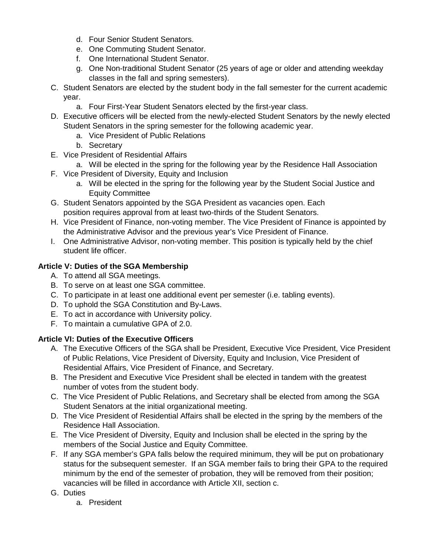- d. Four Senior Student Senators.
- e. One Commuting Student Senator.
- f. One International Student Senator.
- g. One Non-traditional Student Senator (25 years of age or older and attending weekday classes in the fall and spring semesters).
- C. Student Senators are elected by the student body in the fall semester for the current academic year.
	- a. Four First-Year Student Senators elected by the first-year class.
- D. Executive officers will be elected from the newly-elected Student Senators by the newly elected Student Senators in the spring semester for the following academic year.
	- a. Vice President of Public Relations
	- b. Secretary
- E. Vice President of Residential Affairs
	- a. Will be elected in the spring for the following year by the Residence Hall Association
- F. Vice President of Diversity, Equity and Inclusion
	- a. Will be elected in the spring for the following year by the Student Social Justice and Equity Committee
- G. Student Senators appointed by the SGA President as vacancies open. Each position requires approval from at least two-thirds of the Student Senators.
- H. Vice President of Finance, non-voting member. The Vice President of Finance is appointed by the Administrative Advisor and the previous year's Vice President of Finance.
- I. One Administrative Advisor, non-voting member. This position is typically held by the chief student life officer.

### **Article V: Duties of the SGA Membership**

- A. To attend all SGA meetings.
- B. To serve on at least one SGA committee.
- C. To participate in at least one additional event per semester (i.e. tabling events).
- D. To uphold the SGA Constitution and By-Laws.
- E. To act in accordance with University policy.
- F. To maintain a cumulative GPA of 2.0.

### **Article VI: Duties of the Executive Officers**

- A. The Executive Officers of the SGA shall be President, Executive Vice President, Vice President of Public Relations, Vice President of Diversity, Equity and Inclusion, Vice President of Residential Affairs, Vice President of Finance, and Secretary.
- B. The President and Executive Vice President shall be elected in tandem with the greatest number of votes from the student body.
- C. The Vice President of Public Relations, and Secretary shall be elected from among the SGA Student Senators at the initial organizational meeting.
- D. The Vice President of Residential Affairs shall be elected in the spring by the members of the Residence Hall Association.
- E. The Vice President of Diversity, Equity and Inclusion shall be elected in the spring by the members of the Social Justice and Equity Committee.
- F. If any SGA member's GPA falls below the required minimum, they will be put on probationary status for the subsequent semester. If an SGA member fails to bring their GPA to the required minimum by the end of the semester of probation, they will be removed from their position; vacancies will be filled in accordance with Article XII, section c.
- G. Duties
	- a. President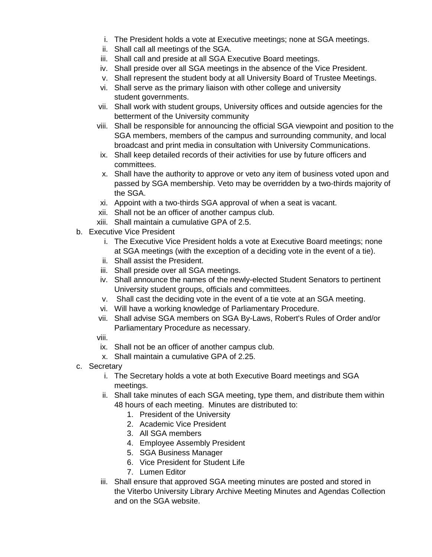- i. The President holds a vote at Executive meetings; none at SGA meetings.
- ii. Shall call all meetings of the SGA.
- iii. Shall call and preside at all SGA Executive Board meetings.
- iv. Shall preside over all SGA meetings in the absence of the Vice President.
- v. Shall represent the student body at all University Board of Trustee Meetings.
- vi. Shall serve as the primary liaison with other college and university student governments.
- vii. Shall work with student groups, University offices and outside agencies for the betterment of the University community
- viii. Shall be responsible for announcing the official SGA viewpoint and position to the SGA members, members of the campus and surrounding community, and local broadcast and print media in consultation with University Communications.
- ix. Shall keep detailed records of their activities for use by future officers and committees.
- x. Shall have the authority to approve or veto any item of business voted upon and passed by SGA membership. Veto may be overridden by a two-thirds majority of the SGA.
- xi. Appoint with a two-thirds SGA approval of when a seat is vacant.
- xii. Shall not be an officer of another campus club.
- xiii. Shall maintain a cumulative GPA of 2.5.
- b. Executive Vice President
	- i. The Executive Vice President holds a vote at Executive Board meetings; none at SGA meetings (with the exception of a deciding vote in the event of a tie).
	- ii. Shall assist the President.
	- iii. Shall preside over all SGA meetings.
	- iv. Shall announce the names of the newly-elected Student Senators to pertinent University student groups, officials and committees.
	- v. Shall cast the deciding vote in the event of a tie vote at an SGA meeting.
	- vi. Will have a working knowledge of Parliamentary Procedure.
	- vii. Shall advise SGA members on SGA By-Laws, Robert's Rules of Order and/or Parliamentary Procedure as necessary.
	- viii.
	- ix. Shall not be an officer of another campus club.
	- x. Shall maintain a cumulative GPA of 2.25.
- c. Secretary
	- i. The Secretary holds a vote at both Executive Board meetings and SGA meetings.
	- ii. Shall take minutes of each SGA meeting, type them, and distribute them within 48 hours of each meeting. Minutes are distributed to:
		- 1. President of the University
		- 2. Academic Vice President
		- 3. All SGA members
		- 4. Employee Assembly President
		- 5. SGA Business Manager
		- 6. Vice President for Student Life
		- 7. Lumen Editor
	- iii. Shall ensure that approved SGA meeting minutes are posted and stored in the Viterbo University Library Archive Meeting Minutes and Agendas Collection and on the SGA website.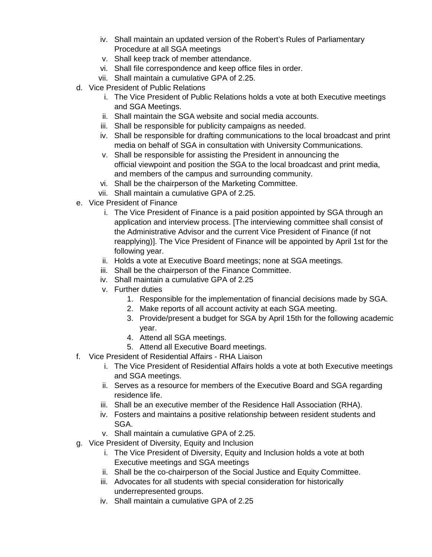- iv. Shall maintain an updated version of the Robert's Rules of Parliamentary Procedure at all SGA meetings
- v. Shall keep track of member attendance.
- vi. Shall file correspondence and keep office files in order.
- vii. Shall maintain a cumulative GPA of 2.25.
- d. Vice President of Public Relations
	- i. The Vice President of Public Relations holds a vote at both Executive meetings and SGA Meetings.
	- ii. Shall maintain the SGA website and social media accounts.
	- iii. Shall be responsible for publicity campaigns as needed.
	- iv. Shall be responsible for drafting communications to the local broadcast and print media on behalf of SGA in consultation with University Communications.
	- v. Shall be responsible for assisting the President in announcing the official viewpoint and position the SGA to the local broadcast and print media, and members of the campus and surrounding community.
	- vi. Shall be the chairperson of the Marketing Committee.
	- vii. Shall maintain a cumulative GPA of 2.25.
- e. Vice President of Finance
	- i. The Vice President of Finance is a paid position appointed by SGA through an application and interview process. [The interviewing committee shall consist of the Administrative Advisor and the current Vice President of Finance (if not reapplying)]. The Vice President of Finance will be appointed by April 1st for the following year.
	- ii. Holds a vote at Executive Board meetings; none at SGA meetings.
	- iii. Shall be the chairperson of the Finance Committee.
	- iv. Shall maintain a cumulative GPA of 2.25
	- v. Further duties
		- 1. Responsible for the implementation of financial decisions made by SGA.
		- 2. Make reports of all account activity at each SGA meeting.
		- 3. Provide/present a budget for SGA by April 15th for the following academic year.
		- 4. Attend all SGA meetings.
		- 5. Attend all Executive Board meetings.
- f. Vice President of Residential Affairs RHA Liaison
	- i. The Vice President of Residential Affairs holds a vote at both Executive meetings and SGA meetings.
	- ii. Serves as a resource for members of the Executive Board and SGA regarding residence life.
	- iii. Shall be an executive member of the Residence Hall Association (RHA).
	- iv. Fosters and maintains a positive relationship between resident students and SGA.
	- v. Shall maintain a cumulative GPA of 2.25.
- g. Vice President of Diversity, Equity and Inclusion
	- i. The Vice President of Diversity, Equity and Inclusion holds a vote at both Executive meetings and SGA meetings
	- ii. Shall be the co-chairperson of the Social Justice and Equity Committee.
	- iii. Advocates for all students with special consideration for historically underrepresented groups.
	- iv. Shall maintain a cumulative GPA of 2.25